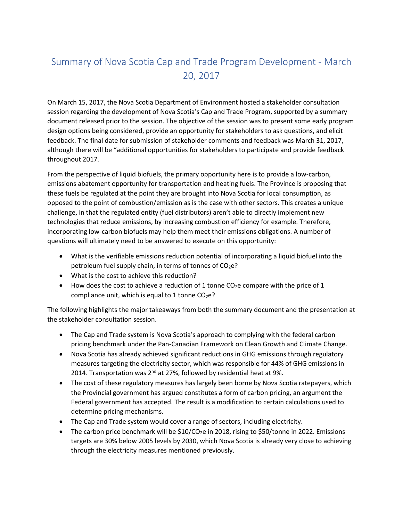## Summary of Nova Scotia Cap and Trade Program Development - March 20, 2017

On March 15, 2017, the Nova Scotia Department of Environment hosted a stakeholder consultation session regarding the development of Nova Scotia's Cap and Trade Program, supported by a summary document released prior to the session. The objective of the session was to present some early program design options being considered, provide an opportunity for stakeholders to ask questions, and elicit feedback. The final date for submission of stakeholder comments and feedback was March 31, 2017, although there will be "additional opportunities for stakeholders to participate and provide feedback throughout 2017.

From the perspective of liquid biofuels, the primary opportunity here is to provide a low-carbon, emissions abatement opportunity for transportation and heating fuels. The Province is proposing that these fuels be regulated at the point they are brought into Nova Scotia for local consumption, as opposed to the point of combustion/emission as is the case with other sectors. This creates a unique challenge, in that the regulated entity (fuel distributors) aren't able to directly implement new technologies that reduce emissions, by increasing combustion efficiency for example. Therefore, incorporating low-carbon biofuels may help them meet their emissions obligations. A number of questions will ultimately need to be answered to execute on this opportunity:

- What is the verifiable emissions reduction potential of incorporating a liquid biofuel into the petroleum fuel supply chain, in terms of tonnes of CO<sub>2</sub>e?
- What is the cost to achieve this reduction?
- $\bullet$  How does the cost to achieve a reduction of 1 tonne CO<sub>2</sub>e compare with the price of 1 compliance unit, which is equal to 1 tonne  $CO<sub>2</sub>e$ ?

The following highlights the major takeaways from both the summary document and the presentation at the stakeholder consultation session.

- The Cap and Trade system is Nova Scotia's approach to complying with the federal carbon pricing benchmark under the Pan-Canadian Framework on Clean Growth and Climate Change.
- Nova Scotia has already achieved significant reductions in GHG emissions through regulatory measures targeting the electricity sector, which was responsible for 44% of GHG emissions in 2014. Transportation was 2<sup>nd</sup> at 27%, followed by residential heat at 9%.
- The cost of these regulatory measures has largely been borne by Nova Scotia ratepayers, which the Provincial government has argued constitutes a form of carbon pricing, an argument the Federal government has accepted. The result is a modification to certain calculations used to determine pricing mechanisms.
- The Cap and Trade system would cover a range of sectors, including electricity.
- The carbon price benchmark will be  $$10/CO<sub>2</sub>e$  in 2018, rising to \$50/tonne in 2022. Emissions targets are 30% below 2005 levels by 2030, which Nova Scotia is already very close to achieving through the electricity measures mentioned previously.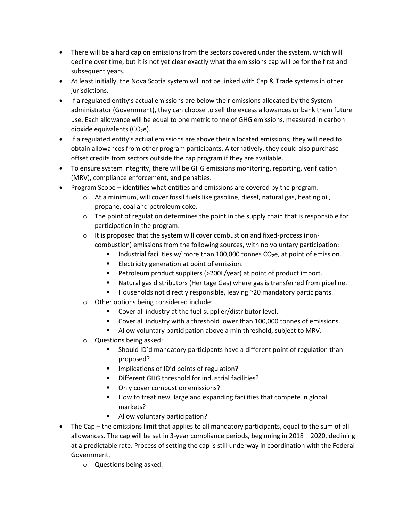- There will be a hard cap on emissions from the sectors covered under the system, which will decline over time, but it is not yet clear exactly what the emissions cap will be for the first and subsequent years.
- At least initially, the Nova Scotia system will not be linked with Cap & Trade systems in other jurisdictions.
- If a regulated entity's actual emissions are below their emissions allocated by the System administrator (Government), they can choose to sell the excess allowances or bank them future use. Each allowance will be equal to one metric tonne of GHG emissions, measured in carbon dioxide equivalents  $(CO<sub>2</sub>e)$ .
- If a regulated entity's actual emissions are above their allocated emissions, they will need to obtain allowances from other program participants. Alternatively, they could also purchase offset credits from sectors outside the cap program if they are available.
- To ensure system integrity, there will be GHG emissions monitoring, reporting, verification (MRV), compliance enforcement, and penalties.
- Program Scope identifies what entities and emissions are covered by the program.
	- $\circ$  At a minimum, will cover fossil fuels like gasoline, diesel, natural gas, heating oil, propane, coal and petroleum coke.
	- $\circ$  The point of regulation determines the point in the supply chain that is responsible for participation in the program.
	- o It is proposed that the system will cover combustion and fixed-process (noncombustion) emissions from the following sources, with no voluntary participation:
		- Industrial facilities w/ more than 100,000 tonnes  $CO<sub>2</sub>e$ , at point of emission.
		- **Electricity generation at point of emission.**
		- **Petroleum product suppliers (>200L/year) at point of product import.**
		- Natural gas distributors (Heritage Gas) where gas is transferred from pipeline.
		- Households not directly responsible, leaving ~20 mandatory participants.
	- o Other options being considered include:
		- Cover all industry at the fuel supplier/distributor level.
		- Cover all industry with a threshold lower than 100,000 tonnes of emissions.
		- **Allow voluntary participation above a min threshold, subject to MRV.**
	- o Questions being asked:
		- Should ID'd mandatory participants have a different point of regulation than proposed?
		- **IMPLE 11.5 Implications of ID'd points of regulation?**
		- Different GHG threshold for industrial facilities?
		- Only cover combustion emissions?
		- How to treat new, large and expanding facilities that compete in global markets?
		- **Allow voluntary participation?**
- The Cap the emissions limit that applies to all mandatory participants, equal to the sum of all allowances. The cap will be set in 3-year compliance periods, beginning in 2018 – 2020, declining at a predictable rate. Process of setting the cap is still underway in coordination with the Federal Government.
	- o Questions being asked: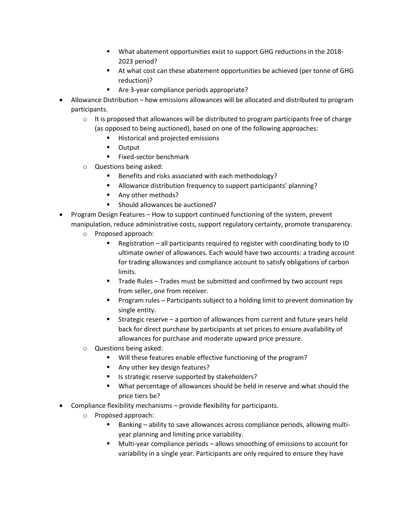- What abatement opportunities exist to support GHG reductions in the 2018- 2023 period?
- At what cost can these abatement opportunities be achieved (per tonne of GHG reduction)?
- Are 3-year compliance periods appropriate?
- Allowance Distribution how emissions allowances will be allocated and distributed to program participants.
	- $\circ$  It is proposed that allowances will be distributed to program participants free of charge (as opposed to being auctioned), based on one of the following approaches:
		- Historical and projected emissions
		- **-** Output
		- **Fixed-sector benchmark**
	- o Questions being asked:
		- Benefits and risks associated with each methodology?
		- Allowance distribution frequency to support participants' planning?
		- Any other methods?
		- Should allowances be auctioned?
- Program Design Features How to support continued functioning of the system, prevent manipulation, reduce administrative costs, support regulatory certainty, promote transparency.
	- o Proposed approach:
		- Registration all participants required to register with coordinating body to ID ultimate owner of allowances. Each would have two accounts: a trading account for trading allowances and compliance account to satisfy obligations of carbon limits.
		- **Trade Rules Trades must be submitted and confirmed by two account reps** from seller, one from receiver.
		- **Program rules Participants subject to a holding limit to prevent domination by** single entity.
		- Strategic reserve a portion of allowances from current and future years held back for direct purchase by participants at set prices to ensure availability of allowances for purchase and moderate upward price pressure.
	- o Questions being asked:
		- **Will these features enable effective functioning of the program?**
		- Any other key design features?
		- Is strategic reserve supported by stakeholders?
		- **What percentage of allowances should be held in reserve and what should the** price tiers be?
- Compliance flexibility mechanisms provide flexibility for participants.
	- o Proposed approach:
		- Banking ability to save allowances across compliance periods, allowing multiyear planning and limiting price variability.
		- Multi-year compliance periods allows smoothing of emissions to account for variability in a single year. Participants are only required to ensure they have